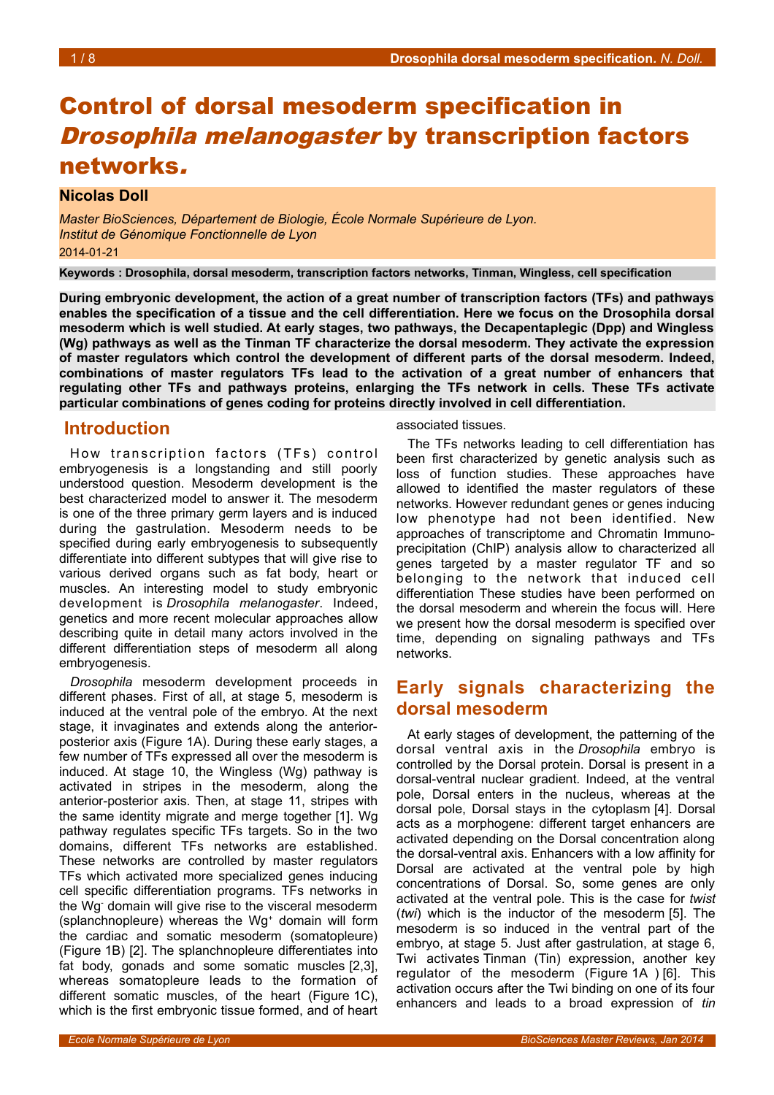# Control of dorsal mesoderm specification in

## Drosophila melanogaster by transcription factors networks.

### **Nicolas Doll**

*Master BioSciences, Département de Biologie, École Normale Supérieure de Lyon. Institut de Génomique Fonctionnelle de Lyon* 2014-01-21

**Keywords : Drosophila, dorsal mesoderm, transcription factors networks, Tinman, Wingless, cell specification**

**During embryonic development, the action of a great number of transcription factors (TFs) and pathways enables the specification of a tissue and the cell differentiation. Here we focus on the Drosophila dorsal mesoderm which is well studied. At early stages, two pathways, the Decapentaplegic (Dpp) and Wingless (Wg) pathways as well as the Tinman TF characterize the dorsal mesoderm. They activate the expression of master regulators which control the development of different parts of the dorsal mesoderm. Indeed, combinations of master regulators TFs lead to the activation of a great number of enhancers that regulating other TFs and pathways proteins, enlarging the TFs network in cells. These TFs activate particular combinations of genes coding for proteins directly involved in cell differentiation.**

## **Introduction**

How transcription factors (TFs) control embryogenesis is a longstanding and still poorly understood question. Mesoderm development is the best characterized model to answer it. The mesoderm is one of the three primary germ layers and is induced during the gastrulation. Mesoderm needs to be specified during early embryogenesis to subsequently differentiate into different subtypes that will give rise to various derived organs such as fat body, heart or muscles. An interesting model to study embryonic development is *Drosophila melanogaster*. Indeed, genetics and more recent molecular approaches allow describing quite in detail many actors involved in the different differentiation steps of mesoderm all along embryogenesis.

*Drosophila* mesoderm development proceeds in different phases. First of all, at stage 5, mesoderm is induced at the ventral pole of the embryo. At the next stage, it invaginates and extends along the anteriorposterior axis (Figure [1A](#page-1-0)). During these early stages, a few number of TFs expressed all over the mesoderm is induced. At stage 10, the Wingless (Wg) pathway is activated in stripes in the mesoderm, along the anterior-posterior axis. Then, at stage 11, stripes with the same identity migrate and merge together [1]. Wg pathway regulates specific TFs targets. So in the two domains, different TFs networks are established. These networks are controlled by master regulators TFs which activated more specialized genes inducing cell specific differentiation programs. TFs networks in the Wg- domain will give rise to the visceral mesoderm (splanchnopleure) whereas the Wg<sup>+</sup> domain will form the cardiac and somatic mesoderm (somatopleure) (Figure [1B](#page-1-0)) [2]. The splanchnopleure differentiates into fat body, gonads and some somatic muscles [2,3], whereas somatopleure leads to the formation of different somatic muscles, of the heart (Figure [1C](#page-1-0)), which is the first embryonic tissue formed, and of heart

associated tissues.

The TFs networks leading to cell differentiation has been first characterized by genetic analysis such as loss of function studies. These approaches have allowed to identified the master regulators of these networks. However redundant genes or genes inducing low phenotype had not been identified. New approaches of transcriptome and Chromatin Immunoprecipitation (ChIP) analysis allow to characterized all genes targeted by a master regulator TF and so belonging to the network that induced cell differentiation These studies have been performed on the dorsal mesoderm and wherein the focus will. Here we present how the dorsal mesoderm is specified over time, depending on signaling pathways and TFs networks.

## **Early signals characterizing the dorsal mesoderm**

At early stages of development, the patterning of the dorsal ventral axis in the *Drosophila* embryo is controlled by the Dorsal protein. Dorsal is present in a dorsal-ventral nuclear gradient. Indeed, at the ventral pole, Dorsal enters in the nucleus, whereas at the dorsal pole, Dorsal stays in the cytoplasm [4]. Dorsal acts as a morphogene: different target enhancers are activated depending on the Dorsal concentration along the dorsal-ventral axis. Enhancers with a low affinity for Dorsal are activated at the ventral pole by high concentrations of Dorsal. So, some genes are only activated at the ventral pole. This is the case for *twist* (*twi*) which is the inductor of the mesoderm [5]. The mesoderm is so induced in the ventral part of the embryo, at stage 5. Just after gastrulation, at stage 6, Twi activates Tinman (Tin) expression, another key regulator of the mesoderm (Figure [1A](#page-1-0) ) [6]. This activation occurs after the Twi binding on one of its four enhancers and leads to a broad expression of *tin*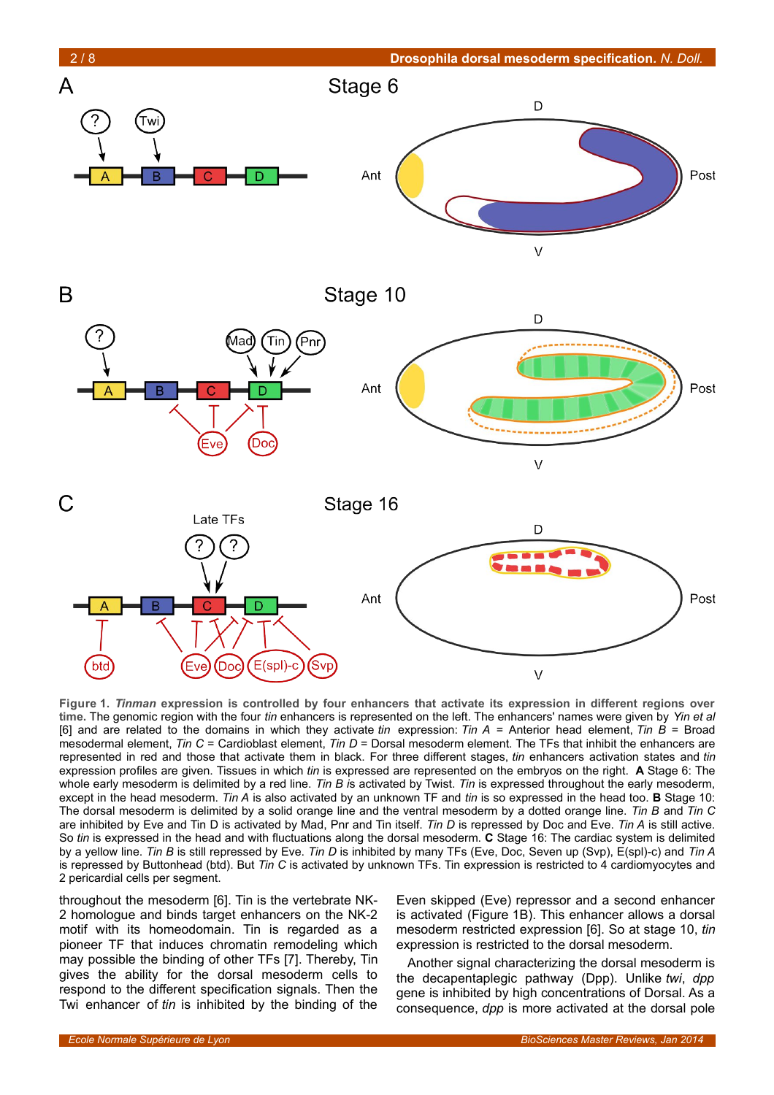

<span id="page-1-0"></span>**Figure 1.** *Tinman* **expression is controlled by four enhancers that activate its expression in different regions over time.** The genomic region with the four *tin* enhancers is represented on the left. The enhancers' names were given by *Yin et al* [6] and are related to the domains in which they activate *tin* expression: *Tin A* = Anterior head element, *Tin B* = Broad mesodermal element, *Tin C* = Cardioblast element, *Tin D* = Dorsal mesoderm element. The TFs that inhibit the enhancers are represented in red and those that activate them in black. For three different stages, *tin* enhancers activation states and *tin* expression profiles are given. Tissues in which *tin* is expressed are represented on the embryos on the right. **A** Stage 6: The whole early mesoderm is delimited by a red line. *Tin B i*s activated by Twist. *Tin* is expressed throughout the early mesoderm, except in the head mesoderm. *Tin A* is also activated by an unknown TF and *tin* is so expressed in the head too. **B** Stage 10: The dorsal mesoderm is delimited by a solid orange line and the ventral mesoderm by a dotted orange line. *Tin B* and *Tin C* are inhibited by Eve and Tin D is activated by Mad, Pnr and Tin itself. *Tin D* is repressed by Doc and Eve. *Tin A* is still active. So *tin* is expressed in the head and with fluctuations along the dorsal mesoderm. **C** Stage 16: The cardiac system is delimited by a yellow line. *Tin B* is still repressed by Eve. *Tin D* is inhibited by many TFs (Eve, Doc, Seven up (Svp), E(spl)-c) and *Tin A* is repressed by Buttonhead (btd). But *Tin C* is activated by unknown TFs. Tin expression is restricted to 4 cardiomyocytes and 2 pericardial cells per segment.

throughout the mesoderm [6]. Tin is the vertebrate NK-2 homologue and binds target enhancers on the NK-2 motif with its homeodomain. Tin is regarded as a pioneer TF that induces chromatin remodeling which may possible the binding of other TFs [7]. Thereby, Tin gives the ability for the dorsal mesoderm cells to respond to the different specification signals. Then the Twi enhancer of *tin* is inhibited by the binding of the

Even skipped (Eve) repressor and a second enhancer is activated (Figure [1B](#page-1-0)). This enhancer allows a dorsal mesoderm restricted expression [6]. So at stage 10, *tin* expression is restricted to the dorsal mesoderm.

Another signal characterizing the dorsal mesoderm is the decapentaplegic pathway (Dpp). Unlike *twi*, *dpp* gene is inhibited by high concentrations of Dorsal. As a consequence, *dpp* is more activated at the dorsal pole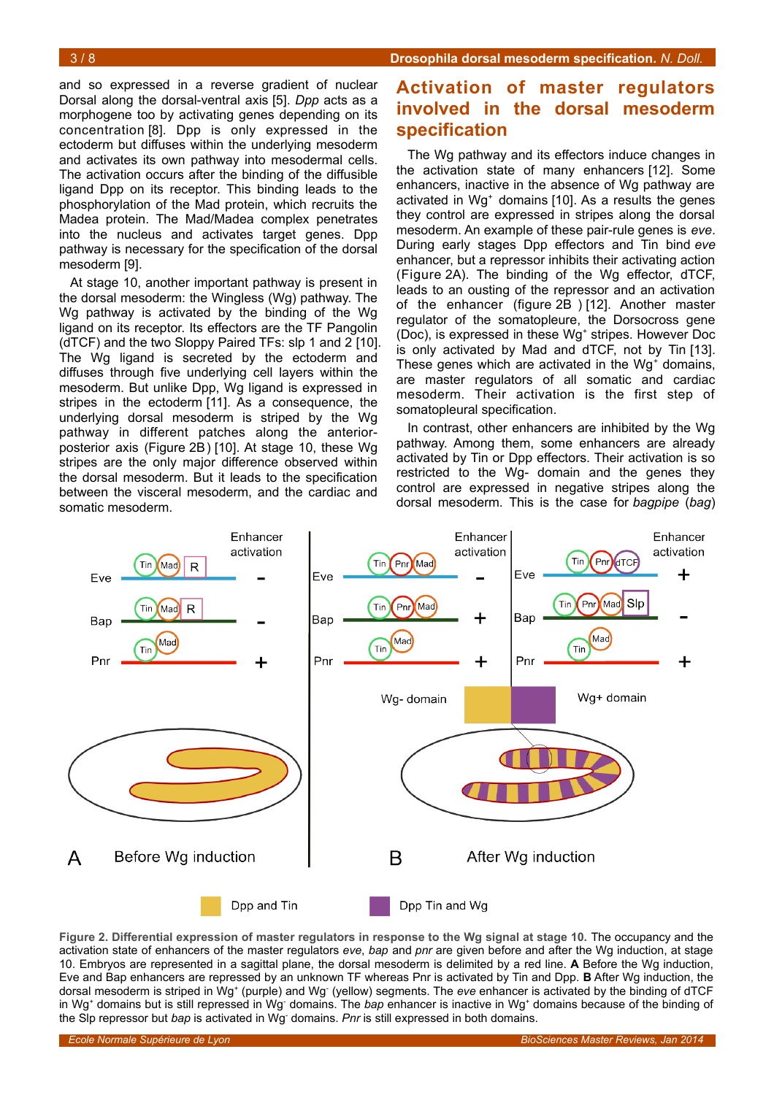and so expressed in a reverse gradient of nuclear Dorsal along the dorsal-ventral axis [5]. *Dpp* acts as a morphogene too by activating genes depending on its concentration [8]. Dpp is only expressed in the ectoderm but diffuses within the underlying mesoderm and activates its own pathway into mesodermal cells. The activation occurs after the binding of the diffusible ligand Dpp on its receptor. This binding leads to the phosphorylation of the Mad protein, which recruits the Madea protein. The Mad/Madea complex penetrates into the nucleus and activates target genes. Dpp pathway is necessary for the specification of the dorsal mesoderm [9].

At stage 10, another important pathway is present in the dorsal mesoderm: the Wingless (Wg) pathway. The Wg pathway is activated by the binding of the Wg ligand on its receptor. Its effectors are the TF Pangolin (dTCF) and the two Sloppy Paired TFs: slp 1 and 2 [10]. The Wg ligand is secreted by the ectoderm and diffuses through five underlying cell layers within the mesoderm. But unlike Dpp, Wg ligand is expressed in stripes in the ectoderm [11]. As a consequence, the underlying dorsal mesoderm is striped by the Wg pathway in different patches along the anteriorposterior axis (Figure [2B](#page-2-0)) [10]. At stage 10, these Wg stripes are the only major difference observed within the dorsal mesoderm. But it leads to the specification between the visceral mesoderm, and the cardiac and somatic mesoderm.

## **Activation of master regulators involved in the dorsal mesoderm specification**

The Wg pathway and its effectors induce changes in the activation state of many enhancers [12]. Some enhancers, inactive in the absence of Wg pathway are activated in Wg<sup>+</sup> domains [10]. As a results the genes they control are expressed in stripes along the dorsal mesoderm. An example of these pair-rule genes is *eve*. During early stages Dpp effectors and Tin bind *eve* enhancer, but a repressor inhibits their activating action (Figure [2A](#page-2-0)). The binding of the Wg effector, dTCF, leads to an ousting of the repressor and an activation of the enhancer (figure [2B](#page-2-0) ) [12]. Another master regulator of the somatopleure, the Dorsocross gene (Doc), is expressed in these Wg<sup>+</sup> stripes. However Doc is only activated by Mad and dTCF, not by Tin [13]. These genes which are activated in the Wg<sup>+</sup> domains, are master regulators of all somatic and cardiac mesoderm. Their activation is the first step of somatopleural specification.

In contrast, other enhancers are inhibited by the Wg pathway. Among them, some enhancers are already activated by Tin or Dpp effectors. Their activation is so restricted to the Wg- domain and the genes they control are expressed in negative stripes along the dorsal mesoderm. This is the case for *bagpipe* (*bag*)



<span id="page-2-0"></span>**Figure 2. Differential expression of master regulators in response to the Wg signal at stage 10.** The occupancy and the activation state of enhancers of the master regulators *eve*, *bap* and *pnr* are given before and after the Wg induction, at stage 10. Embryos are represented in a sagittal plane, the dorsal mesoderm is delimited by a red line. **A** Before the Wg induction, Eve and Bap enhancers are repressed by an unknown TF whereas Pnr is activated by Tin and Dpp. **B** After Wg induction, the dorsal mesoderm is striped in Wg<sup>+</sup> (purple) and Wg<sup>-</sup> (yellow) segments. The *eve* enhancer is activated by the binding of dTCF in Wg<sup>+</sup> domains but is still repressed in Wg<sup>-</sup> domains. The *bap* enhancer is inactive in Wg<sup>+</sup> domains because of the binding of the Slp repressor but *bap* is activated in Wg- domains. *Pnr* is still expressed in both domains.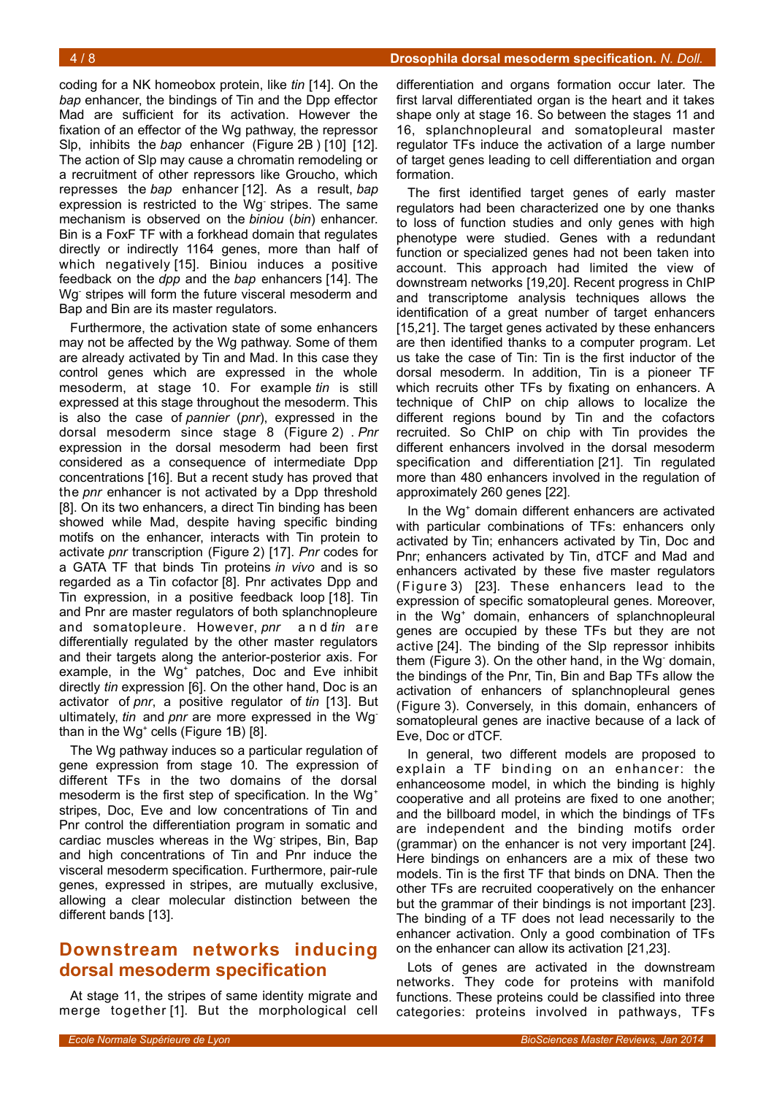coding for a NK homeobox protein, like *tin* [14]. On the *bap* enhancer, the bindings of Tin and the Dpp effector Mad are sufficient for its activation. However the fixation of an effector of the Wg pathway, the repressor Slp, inhibits the *bap* enhancer (Figure [2B](#page-2-0) ) [10] [12]. The action of Slp may cause a chromatin remodeling or a recruitment of other repressors like Groucho, which represses the *bap* enhancer [12]. As a result, *bap* expression is restricted to the Wg stripes. The same mechanism is observed on the *biniou* (*bin*) enhancer. Bin is a FoxF TF with a forkhead domain that regulates directly or indirectly 1164 genes, more than half of which negatively [15]. Biniou induces a positive feedback on the *dpp* and the *bap* enhancers [14]. The Wg- stripes will form the future visceral mesoderm and Bap and Bin are its master regulators.

Furthermore, the activation state of some enhancers may not be affected by the Wg pathway. Some of them are already activated by Tin and Mad. In this case they control genes which are expressed in the whole mesoderm, at stage 10. For example *tin* is still expressed at this stage throughout the mesoderm. This is also the case of *pannier* (*pnr*), expressed in the dorsal mesoderm since stage 8 (Figure [2\)](#page-2-0) . *Pnr* expression in the dorsal mesoderm had been first considered as a consequence of intermediate Dpp concentrations [16]. But a recent study has proved that the *pnr* enhancer is not activated by a Dpp threshold [8]. On its two enhancers, a direct Tin binding has been showed while Mad, despite having specific binding motifs on the enhancer, interacts with Tin protein to activate *pnr* transcription (Figure [2\)](#page-2-0) [17]. *Pnr* codes for a GATA TF that binds Tin proteins *in vivo* and is so regarded as a Tin cofactor [8]. Pnr activates Dpp and Tin expression, in a positive feedback loop [18]. Tin and Pnr are master regulators of both splanchnopleure and somatopleure. However, *pnr* a n d *tin* a re differentially regulated by the other master regulators and their targets along the anterior-posterior axis. For example, in the Wg<sup>+</sup> patches, Doc and Eve inhibit directly *tin* expression [6]. On the other hand, Doc is an activator of *pnr*, a positive regulator of *tin* [13]. But ultimately, *tin* and *pnr* are more expressed in the Wgthan in the Wg<sup>+</sup> cells (Figure [1B](#page-1-0)) [8].

The Wg pathway induces so a particular regulation of gene expression from stage 10. The expression of different TFs in the two domains of the dorsal mesoderm is the first step of specification. In the Wq<sup>+</sup> stripes, Doc, Eve and low concentrations of Tin and Pnr control the differentiation program in somatic and cardiac muscles whereas in the Wg- stripes, Bin, Bap and high concentrations of Tin and Pnr induce the visceral mesoderm specification. Furthermore, pair-rule genes, expressed in stripes, are mutually exclusive, allowing a clear molecular distinction between the different bands [13].

## **Downstream networks inducing dorsal mesoderm specification**

At stage 11, the stripes of same identity migrate and merge together [1]. But the morphological cell

differentiation and organs formation occur later. The first larval differentiated organ is the heart and it takes shape only at stage 16. So between the stages 11 and 16, splanchnopleural and somatopleural master regulator TFs induce the activation of a large number of target genes leading to cell differentiation and organ formation.

The first identified target genes of early master regulators had been characterized one by one thanks to loss of function studies and only genes with high phenotype were studied. Genes with a redundant function or specialized genes had not been taken into account. This approach had limited the view of downstream networks [19,20]. Recent progress in ChIP and transcriptome analysis techniques allows the identification of a great number of target enhancers [15,21]. The target genes activated by these enhancers are then identified thanks to a computer program. Let us take the case of Tin: Tin is the first inductor of the dorsal mesoderm. In addition, Tin is a pioneer TF which recruits other TFs by fixating on enhancers. A technique of ChIP on chip allows to localize the different regions bound by Tin and the cofactors recruited. So ChIP on chip with Tin provides the different enhancers involved in the dorsal mesoderm specification and differentiation [21]. Tin regulated more than 480 enhancers involved in the regulation of approximately 260 genes [22].

In the Wg<sup>+</sup> domain different enhancers are activated with particular combinations of TFs: enhancers only activated by Tin; enhancers activated by Tin, Doc and Pnr; enhancers activated by Tin, dTCF and Mad and enhancers activated by these five master regulators (Figure [3\)](#page-4-0) [23]. These enhancers lead to the expression of specific somatopleural genes. Moreover, in the Wg<sup>+</sup> domain, enhancers of splanchnopleural genes are occupied by these TFs but they are not active [24]. The binding of the Slp repressor inhibits them (Figure [3\)](#page-4-0). On the other hand, in the Wg- domain, the bindings of the Pnr, Tin, Bin and Bap TFs allow the activation of enhancers of splanchnopleural genes (Figure [3\)](#page-4-0). Conversely, in this domain, enhancers of somatopleural genes are inactive because of a lack of Eve, Doc or dTCF.

In general, two different models are proposed to explain a TF binding on an enhancer: the enhanceosome model, in which the binding is highly cooperative and all proteins are fixed to one another; and the billboard model, in which the bindings of TFs are independent and the binding motifs order (grammar) on the enhancer is not very important [24]. Here bindings on enhancers are a mix of these two models. Tin is the first TF that binds on DNA. Then the other TFs are recruited cooperatively on the enhancer but the grammar of their bindings is not important [23]. The binding of a TF does not lead necessarily to the enhancer activation. Only a good combination of TFs on the enhancer can allow its activation [21,23].

Lots of genes are activated in the downstream networks. They code for proteins with manifold functions. These proteins could be classified into three categories: proteins involved in pathways, TFs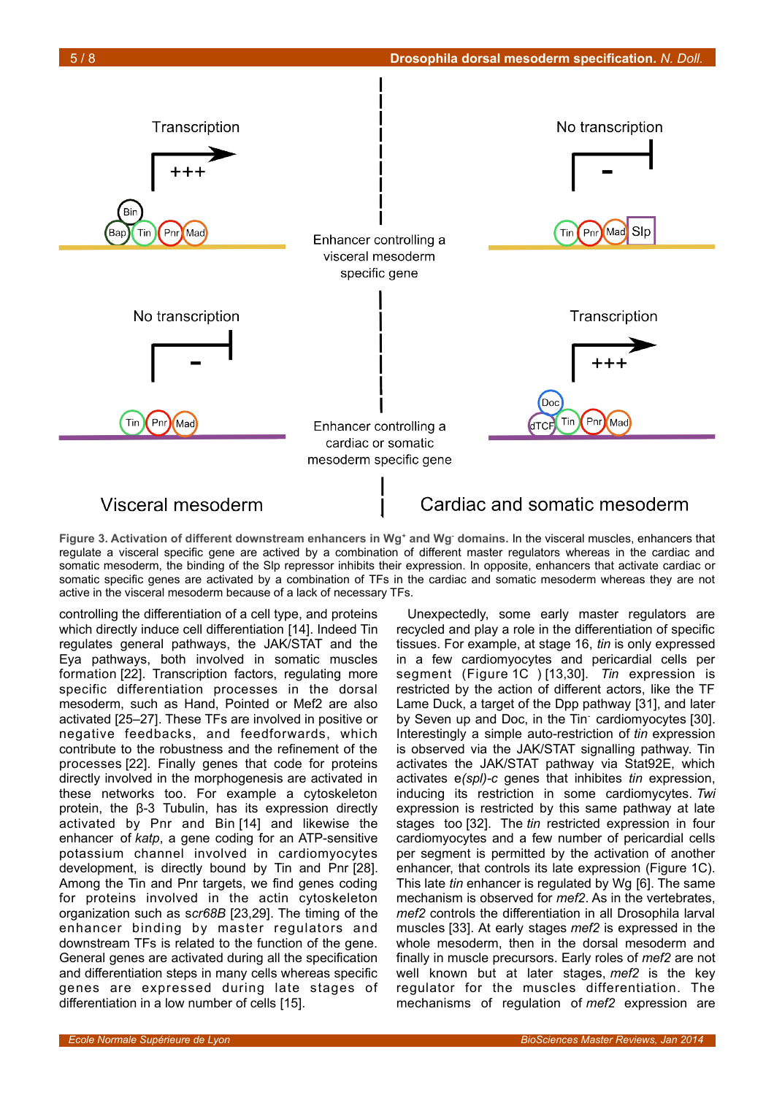

## <span id="page-4-0"></span>Visceral mesoderm

Cardiac and somatic mesoderm

Figure 3. Activation of different downstream enhancers in Wg<sup>+</sup> and Wg<sup>-</sup> domains. In the visceral muscles, enhancers that regulate a visceral specific gene are actived by a combination of different master regulators whereas in the cardiac and somatic mesoderm, the binding of the Slp repressor inhibits their expression. In opposite, enhancers that activate cardiac or somatic specific genes are activated by a combination of TFs in the cardiac and somatic mesoderm whereas they are not active in the visceral mesoderm because of a lack of necessary TFs.

controlling the differentiation of a cell type, and proteins which directly induce cell differentiation [14]. Indeed Tin regulates general pathways, the JAK/STAT and the Eya pathways, both involved in somatic muscles formation [22]. Transcription factors, regulating more specific differentiation processes in the dorsal mesoderm, such as Hand, Pointed or Mef2 are also activated [25–27]. These TFs are involved in positive or negative feedbacks, and feedforwards, which contribute to the robustness and the refinement of the processes [22]. Finally genes that code for proteins directly involved in the morphogenesis are activated in these networks too. For example a cytoskeleton protein, the β-3 Tubulin, has its expression directly activated by Pnr and Bin [14] and likewise the enhancer of *katp*, a gene coding for an ATP-sensitive potassium channel involved in cardiomyocytes development, is directly bound by Tin and Pnr [28]. Among the Tin and Pnr targets, we find genes coding for proteins involved in the actin cytoskeleton organization such as s*cr68B* [23,29]. The timing of the enhancer binding by master regulators and downstream TFs is related to the function of the gene. General genes are activated during all the specification and differentiation steps in many cells whereas specific genes are expressed during late stages of differentiation in a low number of cells [15].

Unexpectedly, some early master regulators are recycled and play a role in the differentiation of specific tissues. For example, at stage 16, *tin* is only expressed in a few cardiomyocytes and pericardial cells per segment (Figure [1C](#page-1-0) ) [13,30]. *Tin* expression is restricted by the action of different actors, like the TF Lame Duck, a target of the Dpp pathway [31], and later by Seven up and Doc, in the Tin cardiomyocytes [30]. Interestingly a simple auto-restriction of *tin* expression is observed via the JAK/STAT signalling pathway. Tin activates the JAK/STAT pathway via Stat92E, which activates e*(spl)-c* genes that inhibites *tin* expression, inducing its restriction in some cardiomycytes. *Twi* expression is restricted by this same pathway at late stages too [32]. The *tin* restricted expression in four cardiomyocytes and a few number of pericardial cells per segment is permitted by the activation of another enhancer, that controls its late expression (Figure [1C](#page-1-0)). This late *tin* enhancer is regulated by Wg [6]. The same mechanism is observed for *mef2*. As in the vertebrates, *mef2* controls the differentiation in all Drosophila larval muscles [33]. At early stages *mef2* is expressed in the whole mesoderm, then in the dorsal mesoderm and finally in muscle precursors. Early roles of *mef2* are not well known but at later stages, *mef2* is the key regulator for the muscles differentiation. The mechanisms of regulation of *mef2* expression are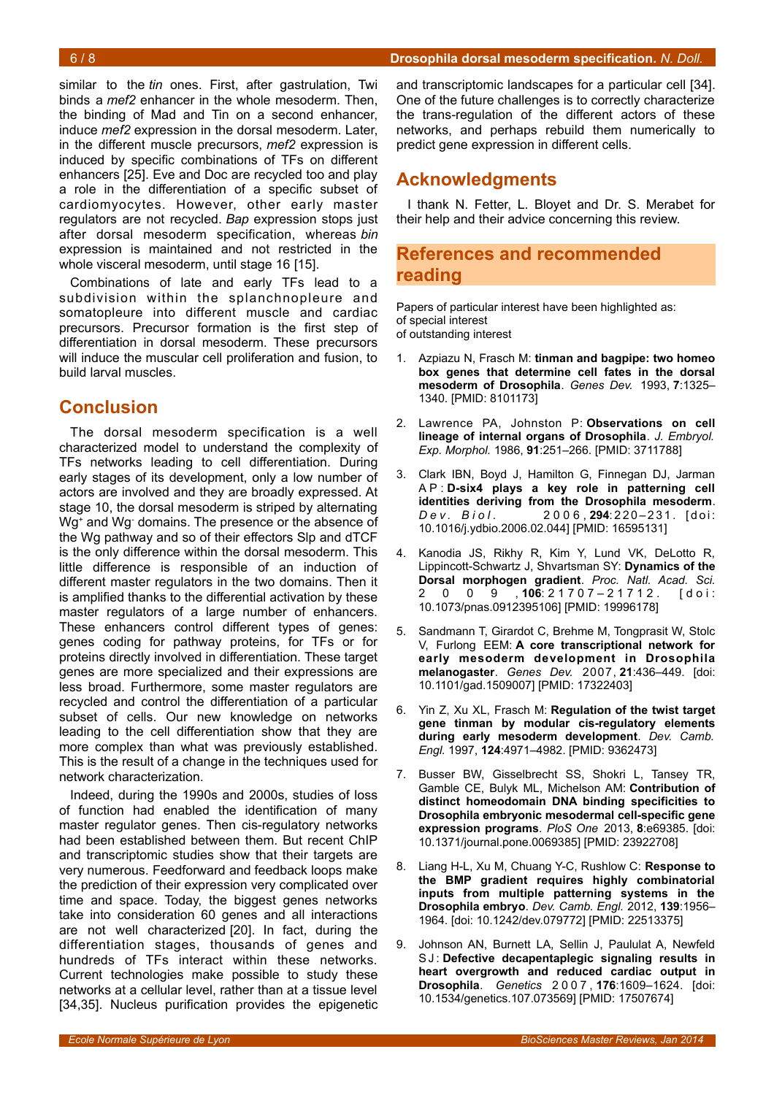similar to the *tin* ones. First, after gastrulation, Twi binds a *mef2* enhancer in the whole mesoderm. Then, the binding of Mad and Tin on a second enhancer, induce *mef2* expression in the dorsal mesoderm. Later, in the different muscle precursors, *mef2* expression is induced by specific combinations of TFs on different enhancers [25]. Eve and Doc are recycled too and play a role in the differentiation of a specific subset of cardiomyocytes. However, other early master regulators are not recycled. *Bap* expression stops just after dorsal mesoderm specification, whereas *bin* expression is maintained and not restricted in the whole visceral mesoderm, until stage 16 [15].

Combinations of late and early TFs lead to a subdivision within the splanchnopleure and somatopleure into different muscle and cardiac precursors. Precursor formation is the first step of differentiation in dorsal mesoderm. These precursors will induce the muscular cell proliferation and fusion, to build larval muscles.

## **Conclusion**

The dorsal mesoderm specification is a well characterized model to understand the complexity of TFs networks leading to cell differentiation. During early stages of its development, only a low number of actors are involved and they are broadly expressed. At stage 10, the dorsal mesoderm is striped by alternating Wg<sup>+</sup> and Wg<sup>-</sup> domains. The presence or the absence of the Wg pathway and so of their effectors Slp and dTCF is the only difference within the dorsal mesoderm. This little difference is responsible of an induction of different master regulators in the two domains. Then it is amplified thanks to the differential activation by these master regulators of a large number of enhancers. These enhancers control different types of genes: genes coding for pathway proteins, for TFs or for proteins directly involved in differentiation. These target genes are more specialized and their expressions are less broad. Furthermore, some master regulators are recycled and control the differentiation of a particular subset of cells. Our new knowledge on networks leading to the cell differentiation show that they are more complex than what was previously established. This is the result of a change in the techniques used for network characterization.

Indeed, during the 1990s and 2000s, studies of loss of function had enabled the identification of many master regulator genes. Then cis-regulatory networks had been established between them. But recent ChIP and transcriptomic studies show that their targets are very numerous. Feedforward and feedback loops make the prediction of their expression very complicated over time and space. Today, the biggest genes networks take into consideration 60 genes and all interactions are not well characterized [20]. In fact, during the differentiation stages, thousands of genes and hundreds of TFs interact within these networks. Current technologies make possible to study these networks at a cellular level, rather than at a tissue level [34,35]. Nucleus purification provides the epigenetic

and transcriptomic landscapes for a particular cell [34]. One of the future challenges is to correctly characterize the trans-regulation of the different actors of these networks, and perhaps rebuild them numerically to predict gene expression in different cells.

## **Acknowledgments**

I thank N. Fetter, L. Bloyet and Dr. S. Merabet for their help and their advice concerning this review.

## **References and recommended reading**

Papers of particular interest have been highlighted as: of special interest of outstanding interest

- 1. Azpiazu N, Frasch M: **tinman and bagpipe: two homeo box genes that determine cell fates in the dorsal mesoderm of Drosophila**. *Genes Dev.* 1993, **7**:1325– 1340. [PMID: 8101173]
- 2. Lawrence PA, Johnston P: **Observations on cell lineage of internal organs of Drosophila**. *J. Embryol. Exp. Morphol.* 1986, **91**:251–266. [PMID: 3711788]
- 3. Clark IBN, Boyd J, Hamilton G, Finnegan DJ, Jarman A P : **D-six4 plays a key role in patterning cell identities deriving from the Drosophila mesoderm**. *Dev. Biol.* 2006, 294: 220-231. [doi: 10.1016/j.ydbio.2006.02.044] [PMID: 16595131]
- 4. Kanodia JS, Rikhy R, Kim Y, Lund VK, DeLotto R, Lippincott-Schwartz J, Shvartsman SY: **Dynamics of the Dorsal morphogen gradient**. *Proc. Natl. Acad. Sci.* 2 0 0 9 , **106**: 2 1 7 0 7 – 2 1 7 1 2 . [ d o i : 10.1073/pnas.0912395106] [PMID: 19996178]
- 5. Sandmann T, Girardot C, Brehme M, Tongprasit W, Stolc V, Furlong EEM: **A core transcriptional network for early mesoderm development in Drosophila melanogaster**. *Genes Dev.* 2007, **21**:436–449. [doi: 10.1101/gad.1509007] [PMID: 17322403]
- 6. Yin Z, Xu XL, Frasch M: **Regulation of the twist target gene tinman by modular cis-regulatory elements during early mesoderm development**. *Dev. Camb. Engl.* 1997, **124**:4971–4982. [PMID: 9362473]
- 7. Busser BW, Gisselbrecht SS, Shokri L, Tansey TR, Gamble CE, Bulyk ML, Michelson AM: **Contribution of distinct homeodomain DNA binding specificities to Drosophila embryonic mesodermal cell-specific gene expression programs**. *PloS One* 2013, **8**:e69385. [doi: 10.1371/journal.pone.0069385] [PMID: 23922708]
- 8. Liang H-L, Xu M, Chuang Y-C, Rushlow C: **Response to the BMP gradient requires highly combinatorial inputs from multiple patterning systems in the Drosophila embryo**. *Dev. Camb. Engl.* 2012, **139**:1956– 1964. [doi: 10.1242/dev.079772] [PMID: 22513375]
- 9. Johnson AN, Burnett LA, Sellin J, Paululat A, Newfeld SJ: Defective decapentaplegic signaling results in **heart overgrowth and reduced cardiac output in Drosophila**. *Genetics* 2 0 0 7 , **176**:1609–1624. [doi: 10.1534/genetics.107.073569] [PMID: 17507674]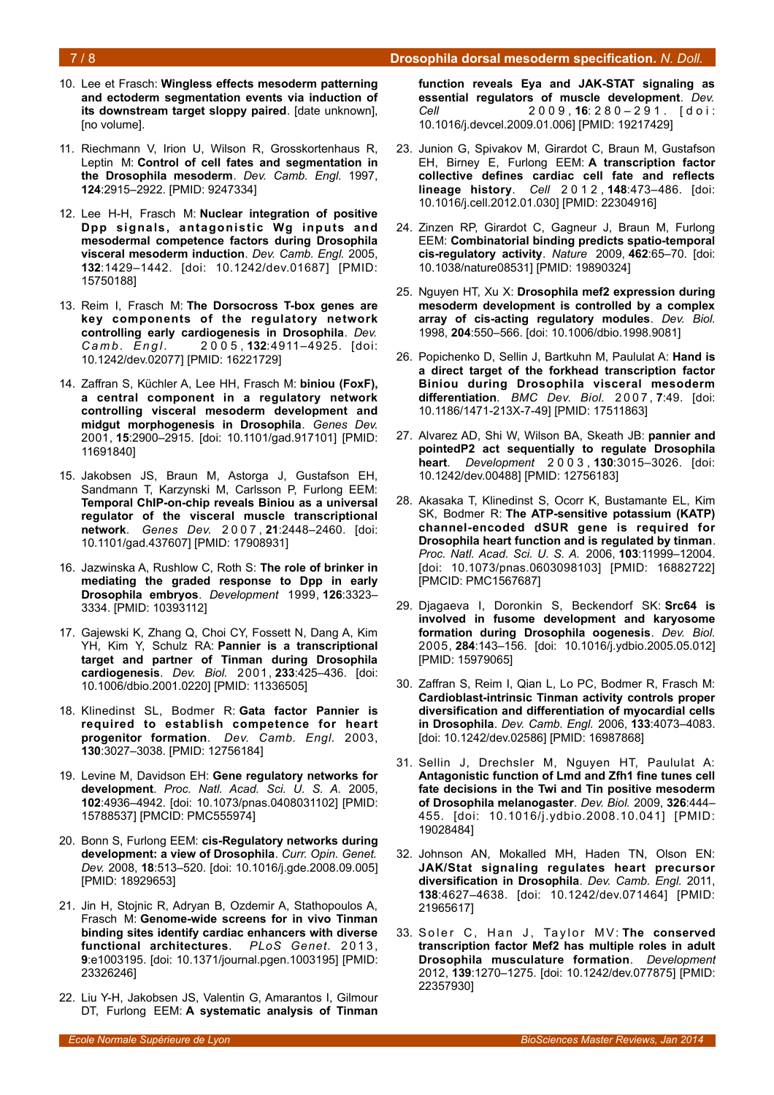### 7 / 8 **Drosophila dorsal mesoderm specification***. N. Doll.*

- 10. Lee et Frasch: **Wingless effects mesoderm patterning and ectoderm segmentation events via induction of its downstream target sloppy paired**. [date unknown], [no volume].
- 11. Riechmann V, Irion U, Wilson R, Grosskortenhaus R, Leptin M: **Control of cell fates and segmentation in the Drosophila mesoderm**. *Dev. Camb. Engl.* 1997, **124**:2915–2922. [PMID: 9247334]
- 12. Lee H-H, Frasch M: **Nuclear integration of positive Dpp signals, antagonistic Wg inputs and mesodermal competence factors during Drosophila visceral mesoderm induction**. *Dev. Camb. Engl.* 2005, **132**:1429–1442. [doi: 10.1242/dev.01687] [PMID: 15750188]
- 13. Reim I, Frasch M: **The Dorsocross T-box genes are key components of the regulatory network controlling early cardiogenesis in Drosophila**. *Dev. C a m b . E n g l .* 2 0 0 5 , **132**:4911–4925. [doi: 10.1242/dev.02077] [PMID: 16221729]
- 14. Zaffran S, Küchler A, Lee HH, Frasch M: **biniou (FoxF), a central component in a regulatory network controlling visceral mesoderm development and midgut morphogenesis in Drosophila**. *Genes Dev.* 2001, **15**:2900–2915. [doi: 10.1101/gad.917101] [PMID: 11691840]
- 15. Jakobsen JS, Braun M, Astorga J, Gustafson EH, Sandmann T, Karzynski M, Carlsson P, Furlong EEM: **Temporal ChIP-on-chip reveals Biniou as a universal regulator of the visceral muscle transcriptional network**. *Genes Dev.* 2 0 0 7 , **21**:2448–2460. [doi: 10.1101/gad.437607] [PMID: 17908931]
- 16. Jazwinska A, Rushlow C, Roth S: **The role of brinker in mediating the graded response to Dpp in early Drosophila embryos**. *Development* 1999, **126**:3323– 3334. [PMID: 10393112]
- 17. Gajewski K, Zhang Q, Choi CY, Fossett N, Dang A, Kim YH, Kim Y, Schulz RA: **Pannier is a transcriptional target and partner of Tinman during Drosophila cardiogenesis**. *Dev. Biol.* 2001, **233**:425–436. [doi: 10.1006/dbio.2001.0220] [PMID: 11336505]
- 18. Klinedinst SL, Bodmer R: **Gata factor Pannier is required to establish competence for heart progenitor formation**. *Dev. Camb. Engl.* 2003, **130**:3027–3038. [PMID: 12756184]
- 19. Levine M, Davidson EH: **Gene regulatory networks for development**. *Proc. Natl. Acad. Sci. U. S. A.* 2005, **102**:4936–4942. [doi: 10.1073/pnas.0408031102] [PMID: 15788537] [PMCID: PMC555974]
- 20. Bonn S, Furlong EEM: **cis-Regulatory networks during development: a view of Drosophila**. *Curr. Opin. Genet. Dev.* 2008, **18**:513–520. [doi: 10.1016/j.gde.2008.09.005] [PMID: 18929653]
- 21. Jin H, Stojnic R, Adryan B, Ozdemir A, Stathopoulos A, Frasch M: **Genome-wide screens for in vivo Tinman binding sites identify cardiac enhancers with diverse** functional architectures. PLoS Genet. 2013, **9**:e1003195. [doi: 10.1371/journal.pgen.1003195] [PMID: 23326246]
- 22. Liu Y-H, Jakobsen JS, Valentin G, Amarantos I, Gilmour DT, Furlong EEM: **A systematic analysis of Tinman**

**function reveals Eya and JAK-STAT signaling as essential regulators of muscle development**. *Dev. Cell* 2 0 0 9 , **16**: 2 8 0 – 2 9 1 . [ d o i : 10.1016/j.devcel.2009.01.006] [PMID: 19217429]

- 23. Junion G, Spivakov M, Girardot C, Braun M, Gustafson EH, Birney E, Furlong EEM: **A transcription factor collective defines cardiac cell fate and reflects lineage history**. *Cell* 2 0 1 2 , **148**:473–486. [doi: 10.1016/j.cell.2012.01.030] [PMID: 22304916]
- 24. Zinzen RP, Girardot C, Gagneur J, Braun M, Furlong EEM: **Combinatorial binding predicts spatio-temporal cis-regulatory activity**. *Nature* 2009, **462**:65–70. [doi: 10.1038/nature08531] [PMID: 19890324]
- 25. Nguyen HT, Xu X: **Drosophila mef2 expression during mesoderm development is controlled by a complex array of cis-acting regulatory modules**. *Dev. Biol.* 1998, **204**:550–566. [doi: 10.1006/dbio.1998.9081]
- 26. Popichenko D, Sellin J, Bartkuhn M, Paululat A: **Hand is a direct target of the forkhead transcription factor Biniou during Drosophila visceral mesoderm differentiation**. *BMC Dev. Biol.* 2 0 0 7 , **7**:49. [doi: 10.1186/1471-213X-7-49] [PMID: 17511863]
- 27. Alvarez AD, Shi W, Wilson BA, Skeath JB: **pannier and pointedP2 act sequentially to regulate Drosophila heart**. *Development* 2 0 0 3 , **130**:3015–3026. [doi: 10.1242/dev.00488] [PMID: 12756183]
- 28. Akasaka T, Klinedinst S, Ocorr K, Bustamante EL, Kim SK, Bodmer R: **The ATP-sensitive potassium (KATP) channel-encoded dSUR gene is required for Drosophila heart function and is regulated by tinman**. *Proc. Natl. Acad. Sci. U. S. A.* 2006, **103**:11999–12004. [doi: 10.1073/pnas.0603098103] [PMID: 16882722] [PMCID: PMC1567687]
- 29. Djagaeva I, Doronkin S, Beckendorf SK: **Src64 is involved in fusome development and karyosome formation during Drosophila oogenesis**. *Dev. Biol.* 2005, **284**:143–156. [doi: 10.1016/j.ydbio.2005.05.012] [PMID: 15979065]
- 30. Zaffran S, Reim I, Qian L, Lo PC, Bodmer R, Frasch M: **Cardioblast-intrinsic Tinman activity controls proper diversification and differentiation of myocardial cells in Drosophila**. *Dev. Camb. Engl.* 2006, **133**:4073–4083. [doi: 10.1242/dev.02586] [PMID: 16987868]
- 31. Sellin J, Drechsler M, Nguyen HT, Paululat A: **Antagonistic function of Lmd and Zfh1 fine tunes cell fate decisions in the Twi and Tin positive mesoderm of Drosophila melanogaster**. *Dev. Biol.* 2009, **326**:444– 455. [doi: 10.1016/j.ydbio.2008.10.041] [PMID: 19028484]
- 32. Johnson AN, Mokalled MH, Haden TN, Olson EN: **JAK/Stat signaling regulates heart precursor diversification in Drosophila**. *Dev. Camb. Engl.* 2011, **138**:4627–4638. [doi: 10.1242/dev.071464] [PMID: 21965617]
- 33. Soler C, Han J, Taylor MV: The conserved **transcription factor Mef2 has multiple roles in adult Drosophila musculature formation**. *Development* 2012, **139**:1270–1275. [doi: 10.1242/dev.077875] [PMID: 22357930]